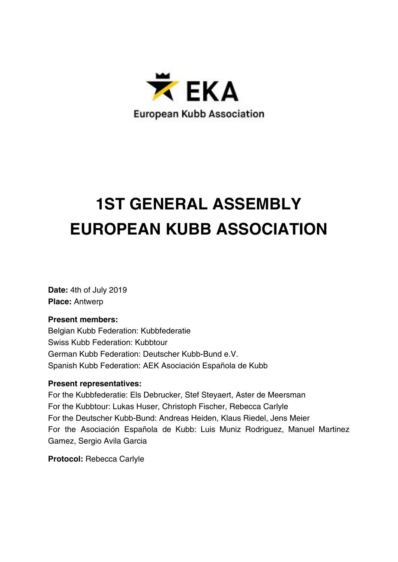

# **1ST GENERAL ASSEMBLY EUROPEAN KUBB ASSOCIATION**

**Date:** 4th of July 2019 **Place:** Antwerp

## **Present members:**

Belgian Kubb Federation: Kubbfederatie Swiss Kubb Federation: Kubbtour German Kubb Federation: Deutscher Kubb-Bund e.V. Spanish Kubb Federation: AEK Asociación Española de Kubb

## **Present representatives:**

For the Kubbfederatie: Els Debrucker, Stef Steyaert, Aster de Meersman For the Kubbtour: Lukas Huser, Christoph Fischer, Rebecca Carlyle For the Deutscher Kubb-Bund: Andreas Heiden, Klaus Riedel, Jens Meier For the Asociación Española de Kubb: Luis Muniz Rodriguez, Manuel Martinez Gamez, Sergio Avila Garcia

**Protocol:** Rebecca Carlyle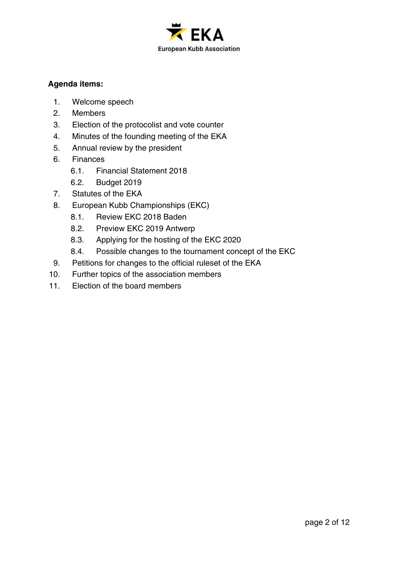

## **Agenda items:**

- 1. Welcome speech
- 2. Members
- 3. Election of the protocolist and vote counter
- 4. Minutes of the founding meeting of the EKA
- 5. Annual review by the president
- 6. Finances
	- 6.1. Financial Statement 2018
	- 6.2. Budget 2019
- 7. Statutes of the EKA
- 8. European Kubb Championships (EKC)
	- 8.1. Review EKC 2018 Baden
	- 8.2. Preview EKC 2019 Antwerp
	- 8.3. Applying for the hosting of the EKC 2020
	- 8.4. Possible changes to the tournament concept of the EKC
- 9. Petitions for changes to the official ruleset of the EKA
- 10. Further topics of the association members
- 11. Election of the board members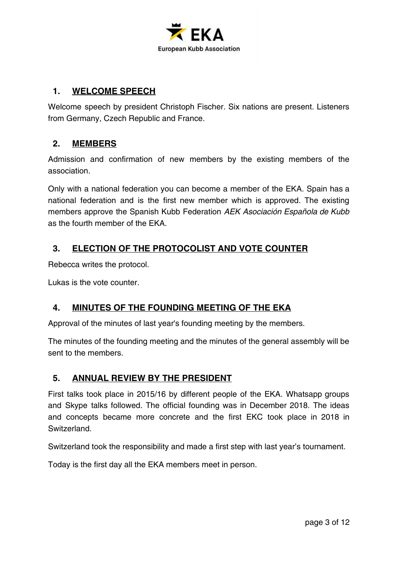

## **1. WELCOME SPEECH**

Welcome speech by president Christoph Fischer. Six nations are present. Listeners from Germany, Czech Republic and France.

## **2. MEMBERS**

Admission and confirmation of new members by the existing members of the association.

Only with a national federation you can become a member of the EKA. Spain has a national federation and is the first new member which is approved. The existing members approve the Spanish Kubb Federation AEK Asociación Española de Kubb as the fourth member of the EKA.

# **3. ELECTION OF THE PROTOCOLIST AND VOTE COUNTER**

Rebecca writes the protocol.

Lukas is the vote counter.

## **4. MINUTES OF THE FOUNDING MEETING OF THE EKA**

Approval of the minutes of last year's founding meeting by the members.

The minutes of the founding meeting and the minutes of the general assembly will be sent to the members.

## **5. ANNUAL REVIEW BY THE PRESIDENT**

First talks took place in 2015/16 by different people of the EKA. Whatsapp groups and Skype talks followed. The official founding was in December 2018. The ideas and concepts became more concrete and the first EKC took place in 2018 in Switzerland.

Switzerland took the responsibility and made a first step with last year's tournament.

Today is the first day all the EKA members meet in person.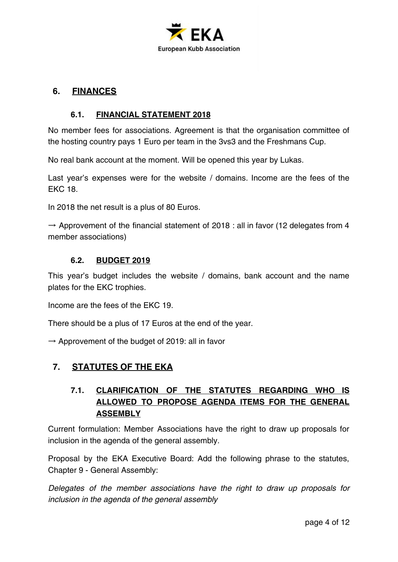

## **6. FINANCES**

## **6.1. FINANCIAL STATEMENT 2018**

No member fees for associations. Agreement is that the organisation committee of the hosting country pays 1 Euro per team in the 3vs3 and the Freshmans Cup.

No real bank account at the moment. Will be opened this year by Lukas.

Last year's expenses were for the website / domains. Income are the fees of the EKC 18.

In 2018 the net result is a plus of 80 Euros.

 $\rightarrow$  Approvement of the financial statement of 2018 : all in favor (12 delegates from 4 member associations)

## **6.2. BUDGET 2019**

This year's budget includes the website / domains, bank account and the name plates for the EKC trophies.

Income are the fees of the EKC 19.

There should be a plus of 17 Euros at the end of the year.

 $\rightarrow$  Approvement of the budget of 2019: all in favor

## **7. STATUTES OF THE EKA**

# **7.1. CLARIFICATION OF THE STATUTES REGARDING WHO IS ALLOWED TO PROPOSE AGENDA ITEMS FOR THE GENERAL ASSEMBLY**

Current formulation: Member Associations have the right to draw up proposals for inclusion in the agenda of the general assembly.

Proposal by the EKA Executive Board: Add the following phrase to the statutes, Chapter 9 - General Assembly:

Delegates of the member associations have the right to draw up proposals for inclusion in the agenda of the general assembly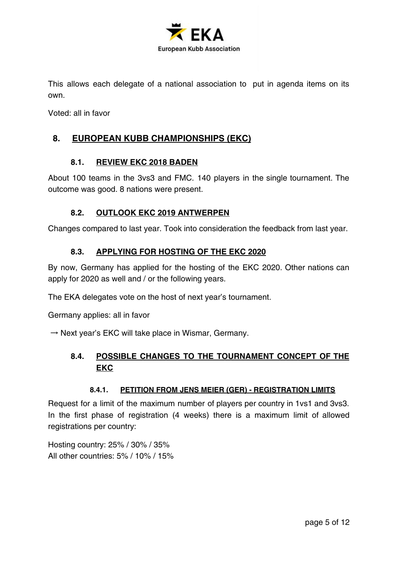

This allows each delegate of a national association to put in agenda items on its own.

Voted: all in favor

## **8. EUROPEAN KUBB CHAMPIONSHIPS (EKC)**

#### **8.1. REVIEW EKC 2018 BADEN**

About 100 teams in the 3vs3 and FMC. 140 players in the single tournament. The outcome was good. 8 nations were present.

## **8.2. OUTLOOK EKC 2019 ANTWERPEN**

Changes compared to last year. Took into consideration the feedback from last year.

## **8.3. APPLYING FOR HOSTING OF THE EKC 2020**

By now, Germany has applied for the hosting of the EKC 2020. Other nations can apply for 2020 as well and / or the following years.

The EKA delegates vote on the host of next year's tournament.

Germany applies: all in favor

 $\rightarrow$  Next year's EKC will take place in Wismar, Germany.

## **8.4. POSSIBLE CHANGES TO THE TOURNAMENT CONCEPT OF THE EKC**

#### **8.4.1. PETITION FROM JENS MEIER (GER) - REGISTRATION LIMITS**

Request for a limit of the maximum number of players per country in 1vs1 and 3vs3. In the first phase of registration (4 weeks) there is a maximum limit of allowed registrations per country:

Hosting country: 25% / 30% / 35% All other countries: 5% / 10% / 15%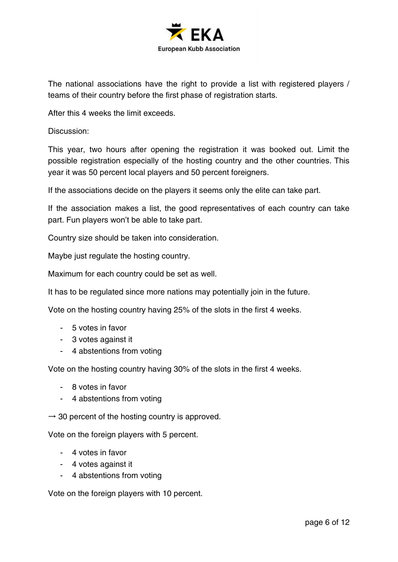

The national associations have the right to provide a list with registered players / teams of their country before the first phase of registration starts.

After this 4 weeks the limit exceeds.

Discussion:

This year, two hours after opening the registration it was booked out. Limit the possible registration especially of the hosting country and the other countries. This year it was 50 percent local players and 50 percent foreigners.

If the associations decide on the players it seems only the elite can take part.

If the association makes a list, the good representatives of each country can take part. Fun players won't be able to take part.

Country size should be taken into consideration.

Maybe just regulate the hosting country.

Maximum for each country could be set as well.

It has to be regulated since more nations may potentially join in the future.

Vote on the hosting country having 25% of the slots in the first 4 weeks.

- 5 votes in favor
- 3 votes against it
- 4 abstentions from voting

Vote on the hosting country having 30% of the slots in the first 4 weeks.

- 8 votes in favor
- 4 abstentions from voting

 $\rightarrow$  30 percent of the hosting country is approved.

Vote on the foreign players with 5 percent.

- 4 votes in favor
- 4 votes against it
- 4 abstentions from voting

Vote on the foreign players with 10 percent.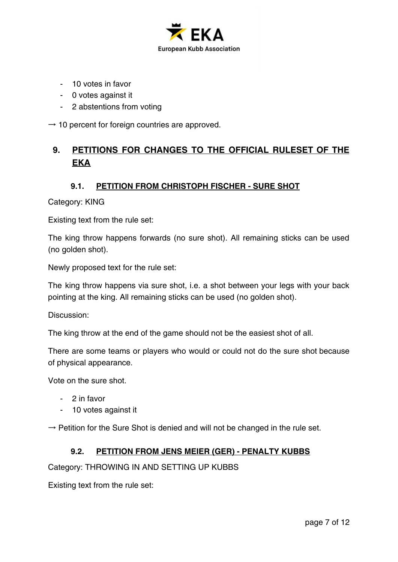

- 10 votes in favor
- 0 votes against it
- 2 abstentions from voting

 $\rightarrow$  10 percent for foreign countries are approved.

# **9. PETITIONS FOR CHANGES TO THE OFFICIAL RULESET OF THE EKA**

#### **9.1. PETITION FROM CHRISTOPH FISCHER - SURE SHOT**

Category: KING

Existing text from the rule set:

The king throw happens forwards (no sure shot). All remaining sticks can be used (no golden shot).

Newly proposed text for the rule set:

The king throw happens via sure shot, i.e. a shot between your legs with your back pointing at the king. All remaining sticks can be used (no golden shot).

Discussion:

The king throw at the end of the game should not be the easiest shot of all.

There are some teams or players who would or could not do the sure shot because of physical appearance.

Vote on the sure shot.

- 2 in favor
- 10 votes against it

 $\rightarrow$  Petition for the Sure Shot is denied and will not be changed in the rule set.

#### **9.2. PETITION FROM JENS MEIER (GER) - PENALTY KUBBS**

Category: THROWING IN AND SETTING UP KUBBS

Existing text from the rule set: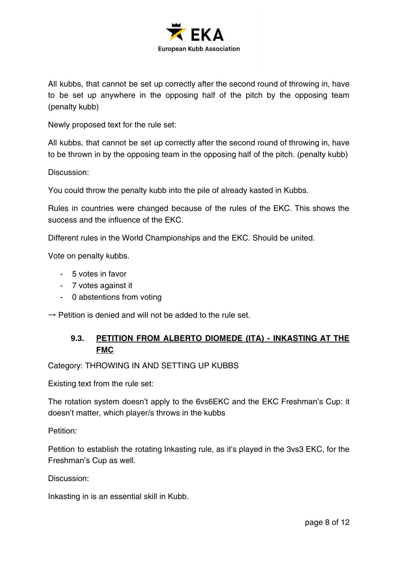

All kubbs, that cannot be set up correctly after the second round of throwing in, have to be set up anywhere in the opposing half of the pitch by the opposing team (penalty kubb)

Newly proposed text for the rule set:

All kubbs, that cannot be set up correctly after the second round of throwing in, have to be thrown in by the opposing team in the opposing half of the pitch. (penalty kubb)

Discussion:

You could throw the penalty kubb into the pile of already kasted in Kubbs.

Rules in countries were changed because of the rules of the EKC. This shows the success and the influence of the EKC.

Different rules in the World Championships and the EKC. Should be united.

Vote on penalty kubbs.

- 5 votes in favor
- 7 votes against it
- 0 abstentions from voting

 $\rightarrow$  Petition is denied and will not be added to the rule set.

## **9.3. PETITION FROM ALBERTO DIOMEDE (ITA) - INKASTING AT THE FMC**

Category: THROWING IN AND SETTING UP KUBBS

Existing text from the rule set:

The rotation system doesn't apply to the 6vs6EKC and the EKC Freshman's Cup: it doesn't matter, which player/s throws in the kubbs

Petition:

Petition to establish the rotating Inkasting rule, as it's played in the 3vs3 EKC, for the Freshman's Cup as well.

Discussion:

Inkasting in is an essential skill in Kubb.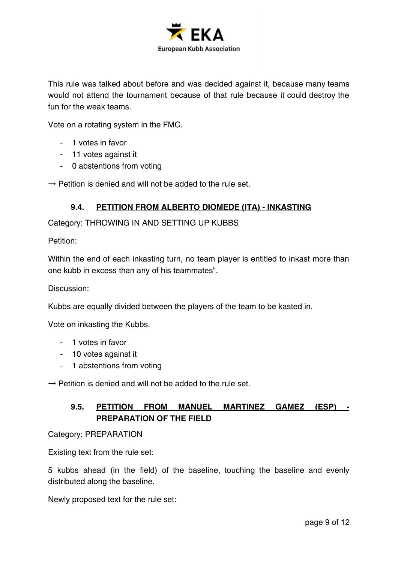

This rule was talked about before and was decided against it, because many teams would not attend the tournament because of that rule because it could destroy the fun for the weak teams.

Vote on a rotating system in the FMC.

- 1 votes in favor
- 11 votes against it
- 0 abstentions from voting

 $\rightarrow$  Petition is denied and will not be added to the rule set.

#### **9.4. PETITION FROM ALBERTO DIOMEDE (ITA) - INKASTING**

Category: THROWING IN AND SETTING UP KUBBS

Petition:

Within the end of each inkasting turn, no team player is entitled to inkast more than one kubb in excess than any of his teammates".

Discussion:

Kubbs are equally divided between the players of the team to be kasted in.

Vote on inkasting the Kubbs.

- 1 votes in favor
- 10 votes against it
- 1 abstentions from voting

 $\rightarrow$  Petition is denied and will not be added to the rule set.

## **9.5. PETITION FROM MANUEL MARTINEZ GAMEZ (ESP) - PREPARATION OF THE FIELD**

Category: PREPARATION

Existing text from the rule set:

5 kubbs ahead (in the field) of the baseline, touching the baseline and evenly distributed along the baseline.

Newly proposed text for the rule set: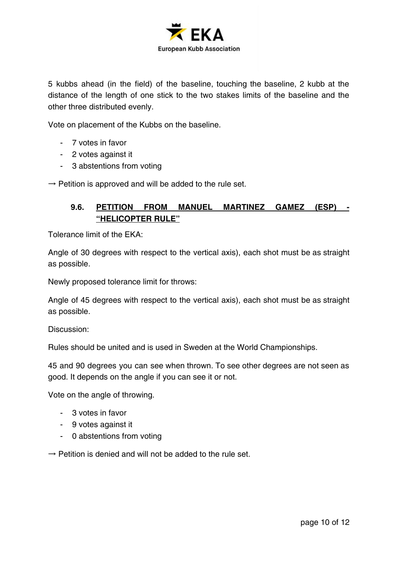

5 kubbs ahead (in the field) of the baseline, touching the baseline, 2 kubb at the distance of the length of one stick to the two stakes limits of the baseline and the other three distributed evenly.

Vote on placement of the Kubbs on the baseline.

- 7 votes in favor
- 2 votes against it
- 3 abstentions from voting

 $\rightarrow$  Petition is approved and will be added to the rule set.

## **9.6. PETITION FROM MANUEL MARTINEZ GAMEZ (ESP) - "HELICOPTER RULE"**

Tolerance limit of the EKA:

Angle of 30 degrees with respect to the vertical axis), each shot must be as straight as possible.

Newly proposed tolerance limit for throws:

Angle of 45 degrees with respect to the vertical axis), each shot must be as straight as possible.

Discussion:

Rules should be united and is used in Sweden at the World Championships.

45 and 90 degrees you can see when thrown. To see other degrees are not seen as good. It depends on the angle if you can see it or not.

Vote on the angle of throwing.

- 3 votes in favor
- 9 votes against it
- 0 abstentions from voting

 $\rightarrow$  Petition is denied and will not be added to the rule set.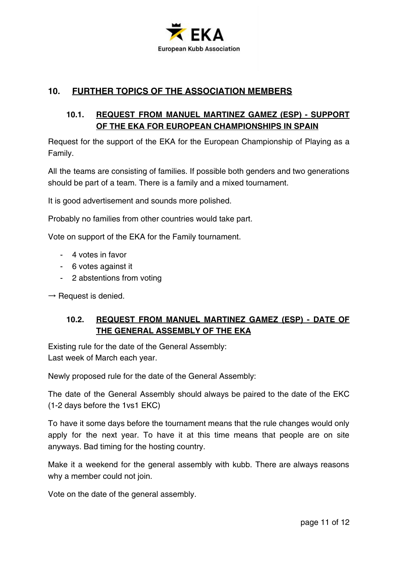

# **10. FURTHER TOPICS OF THE ASSOCIATION MEMBERS**

## **10.1. REQUEST FROM MANUEL MARTINEZ GAMEZ (ESP) - SUPPORT OF THE EKA FOR EUROPEAN CHAMPIONSHIPS IN SPAIN**

Request for the support of the EKA for the European Championship of Playing as a Family.

All the teams are consisting of families. If possible both genders and two generations should be part of a team. There is a family and a mixed tournament.

It is good advertisement and sounds more polished.

Probably no families from other countries would take part.

Vote on support of the EKA for the Family tournament.

- 4 votes in favor
- 6 votes against it
- 2 abstentions from voting

 $\rightarrow$  Request is denied.

## **10.2. REQUEST FROM MANUEL MARTINEZ GAMEZ (ESP) - DATE OF THE GENERAL ASSEMBLY OF THE EKA**

Existing rule for the date of the General Assembly: Last week of March each year.

Newly proposed rule for the date of the General Assembly:

The date of the General Assembly should always be paired to the date of the EKC (1-2 days before the 1vs1 EKC)

To have it some days before the tournament means that the rule changes would only apply for the next year. To have it at this time means that people are on site anyways. Bad timing for the hosting country.

Make it a weekend for the general assembly with kubb. There are always reasons why a member could not join.

Vote on the date of the general assembly.